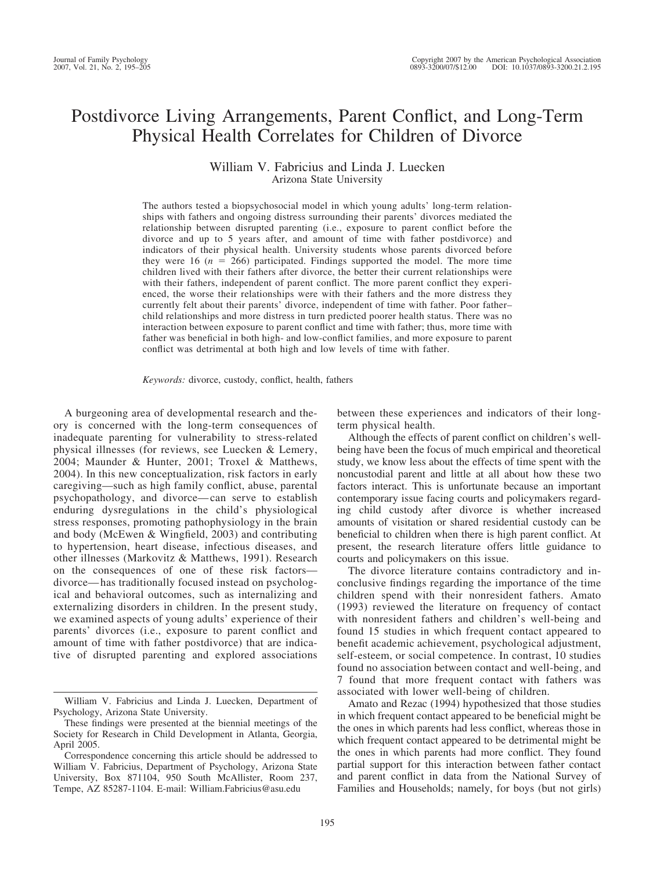# Postdivorce Living Arrangements, Parent Conflict, and Long-Term Physical Health Correlates for Children of Divorce

## William V. Fabricius and Linda J. Luecken Arizona State University

The authors tested a biopsychosocial model in which young adults' long-term relationships with fathers and ongoing distress surrounding their parents' divorces mediated the relationship between disrupted parenting (i.e., exposure to parent conflict before the divorce and up to 5 years after, and amount of time with father postdivorce) and indicators of their physical health. University students whose parents divorced before they were 16 ( $n = 266$ ) participated. Findings supported the model. The more time children lived with their fathers after divorce, the better their current relationships were with their fathers, independent of parent conflict. The more parent conflict they experienced, the worse their relationships were with their fathers and the more distress they currently felt about their parents' divorce, independent of time with father. Poor father– child relationships and more distress in turn predicted poorer health status. There was no interaction between exposure to parent conflict and time with father; thus, more time with father was beneficial in both high- and low-conflict families, and more exposure to parent conflict was detrimental at both high and low levels of time with father.

*Keywords:* divorce, custody, conflict, health, fathers

A burgeoning area of developmental research and theory is concerned with the long-term consequences of inadequate parenting for vulnerability to stress-related physical illnesses (for reviews, see Luecken & Lemery, 2004; Maunder & Hunter, 2001; Troxel & Matthews, 2004). In this new conceptualization, risk factors in early caregiving—such as high family conflict, abuse, parental psychopathology, and divorce— can serve to establish enduring dysregulations in the child's physiological stress responses, promoting pathophysiology in the brain and body (McEwen & Wingfield, 2003) and contributing to hypertension, heart disease, infectious diseases, and other illnesses (Markovitz & Matthews, 1991). Research on the consequences of one of these risk factors divorce— has traditionally focused instead on psychological and behavioral outcomes, such as internalizing and externalizing disorders in children. In the present study, we examined aspects of young adults' experience of their parents' divorces (i.e., exposure to parent conflict and amount of time with father postdivorce) that are indicative of disrupted parenting and explored associations

between these experiences and indicators of their longterm physical health.

Although the effects of parent conflict on children's wellbeing have been the focus of much empirical and theoretical study, we know less about the effects of time spent with the noncustodial parent and little at all about how these two factors interact. This is unfortunate because an important contemporary issue facing courts and policymakers regarding child custody after divorce is whether increased amounts of visitation or shared residential custody can be beneficial to children when there is high parent conflict. At present, the research literature offers little guidance to courts and policymakers on this issue.

The divorce literature contains contradictory and inconclusive findings regarding the importance of the time children spend with their nonresident fathers. Amato (1993) reviewed the literature on frequency of contact with nonresident fathers and children's well-being and found 15 studies in which frequent contact appeared to benefit academic achievement, psychological adjustment, self-esteem, or social competence. In contrast, 10 studies found no association between contact and well-being, and 7 found that more frequent contact with fathers was associated with lower well-being of children.

Amato and Rezac (1994) hypothesized that those studies in which frequent contact appeared to be beneficial might be the ones in which parents had less conflict, whereas those in which frequent contact appeared to be detrimental might be the ones in which parents had more conflict. They found partial support for this interaction between father contact and parent conflict in data from the National Survey of Families and Households; namely, for boys (but not girls)

William V. Fabricius and Linda J. Luecken, Department of Psychology, Arizona State University.

These findings were presented at the biennial meetings of the Society for Research in Child Development in Atlanta, Georgia, April 2005.

Correspondence concerning this article should be addressed to William V. Fabricius, Department of Psychology, Arizona State University, Box 871104, 950 South McAllister, Room 237, Tempe, AZ 85287-1104. E-mail: William.Fabricius@asu.edu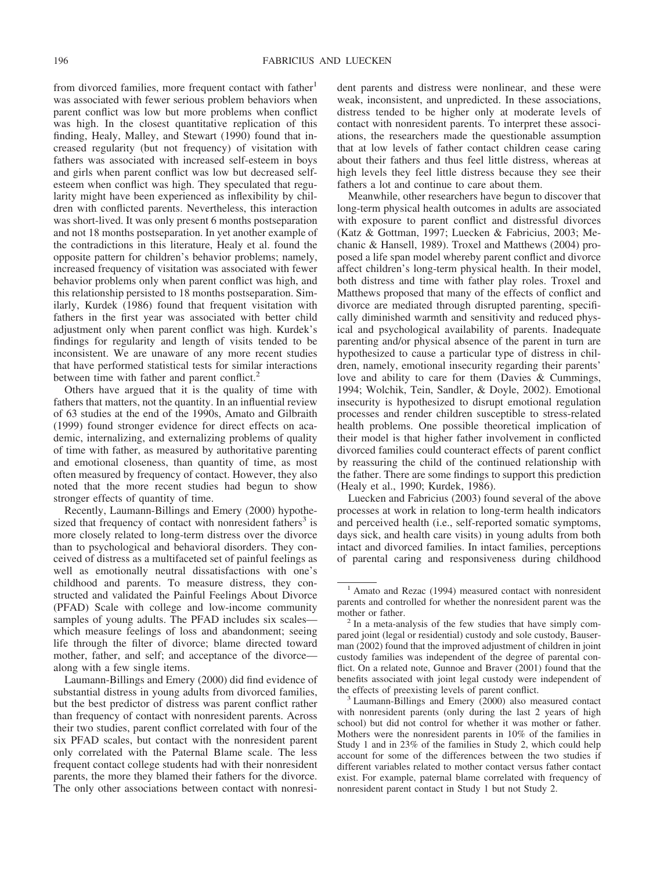from divorced families, more frequent contact with father<sup>1</sup> was associated with fewer serious problem behaviors when parent conflict was low but more problems when conflict was high. In the closest quantitative replication of this finding, Healy, Malley, and Stewart (1990) found that increased regularity (but not frequency) of visitation with fathers was associated with increased self-esteem in boys and girls when parent conflict was low but decreased selfesteem when conflict was high. They speculated that regularity might have been experienced as inflexibility by children with conflicted parents. Nevertheless, this interaction was short-lived. It was only present 6 months postseparation and not 18 months postseparation. In yet another example of the contradictions in this literature, Healy et al. found the opposite pattern for children's behavior problems; namely, increased frequency of visitation was associated with fewer behavior problems only when parent conflict was high, and this relationship persisted to 18 months postseparation. Similarly, Kurdek (1986) found that frequent visitation with fathers in the first year was associated with better child adjustment only when parent conflict was high. Kurdek's findings for regularity and length of visits tended to be inconsistent. We are unaware of any more recent studies that have performed statistical tests for similar interactions between time with father and parent conflict.<sup>2</sup>

Others have argued that it is the quality of time with fathers that matters, not the quantity. In an influential review of 63 studies at the end of the 1990s, Amato and Gilbraith (1999) found stronger evidence for direct effects on academic, internalizing, and externalizing problems of quality of time with father, as measured by authoritative parenting and emotional closeness, than quantity of time, as most often measured by frequency of contact. However, they also noted that the more recent studies had begun to show stronger effects of quantity of time.

Recently, Laumann-Billings and Emery (2000) hypothesized that frequency of contact with nonresident fathers<sup>3</sup> is more closely related to long-term distress over the divorce than to psychological and behavioral disorders. They conceived of distress as a multifaceted set of painful feelings as well as emotionally neutral dissatisfactions with one's childhood and parents. To measure distress, they constructed and validated the Painful Feelings About Divorce (PFAD) Scale with college and low-income community samples of young adults. The PFAD includes six scales which measure feelings of loss and abandonment; seeing life through the filter of divorce; blame directed toward mother, father, and self; and acceptance of the divorce along with a few single items.

Laumann-Billings and Emery (2000) did find evidence of substantial distress in young adults from divorced families, but the best predictor of distress was parent conflict rather than frequency of contact with nonresident parents. Across their two studies, parent conflict correlated with four of the six PFAD scales, but contact with the nonresident parent only correlated with the Paternal Blame scale. The less frequent contact college students had with their nonresident parents, the more they blamed their fathers for the divorce. The only other associations between contact with nonresident parents and distress were nonlinear, and these were weak, inconsistent, and unpredicted. In these associations, distress tended to be higher only at moderate levels of contact with nonresident parents. To interpret these associations, the researchers made the questionable assumption that at low levels of father contact children cease caring about their fathers and thus feel little distress, whereas at high levels they feel little distress because they see their fathers a lot and continue to care about them.

Meanwhile, other researchers have begun to discover that long-term physical health outcomes in adults are associated with exposure to parent conflict and distressful divorces (Katz & Gottman, 1997; Luecken & Fabricius, 2003; Mechanic & Hansell, 1989). Troxel and Matthews (2004) proposed a life span model whereby parent conflict and divorce affect children's long-term physical health. In their model, both distress and time with father play roles. Troxel and Matthews proposed that many of the effects of conflict and divorce are mediated through disrupted parenting, specifically diminished warmth and sensitivity and reduced physical and psychological availability of parents. Inadequate parenting and/or physical absence of the parent in turn are hypothesized to cause a particular type of distress in children, namely, emotional insecurity regarding their parents' love and ability to care for them (Davies & Cummings, 1994; Wolchik, Tein, Sandler, & Doyle, 2002). Emotional insecurity is hypothesized to disrupt emotional regulation processes and render children susceptible to stress-related health problems. One possible theoretical implication of their model is that higher father involvement in conflicted divorced families could counteract effects of parent conflict by reassuring the child of the continued relationship with the father. There are some findings to support this prediction (Healy et al., 1990; Kurdek, 1986).

Luecken and Fabricius (2003) found several of the above processes at work in relation to long-term health indicators and perceived health (i.e., self-reported somatic symptoms, days sick, and health care visits) in young adults from both intact and divorced families. In intact families, perceptions of parental caring and responsiveness during childhood

<sup>1</sup> Amato and Rezac (1994) measured contact with nonresident parents and controlled for whether the nonresident parent was the mother or father.<br><sup>2</sup> In a meta-analysis of the few studies that have simply com-

pared joint (legal or residential) custody and sole custody, Bauserman (2002) found that the improved adjustment of children in joint custody families was independent of the degree of parental conflict. On a related note, Gunnoe and Braver (2001) found that the benefits associated with joint legal custody were independent of the effects of preexisting levels of parent conflict.<br><sup>3</sup> Laumann-Billings and Emery (2000) also measured contact

with nonresident parents (only during the last 2 years of high school) but did not control for whether it was mother or father. Mothers were the nonresident parents in 10% of the families in Study 1 and in 23% of the families in Study 2, which could help account for some of the differences between the two studies if different variables related to mother contact versus father contact exist. For example, paternal blame correlated with frequency of nonresident parent contact in Study 1 but not Study 2.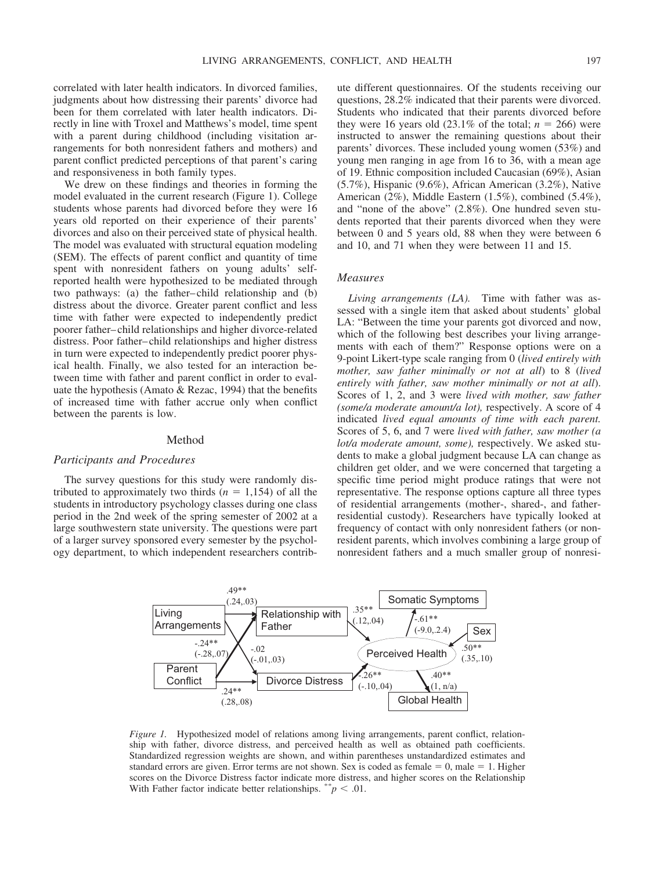correlated with later health indicators. In divorced families, judgments about how distressing their parents' divorce had been for them correlated with later health indicators. Directly in line with Troxel and Matthews's model, time spent with a parent during childhood (including visitation arrangements for both nonresident fathers and mothers) and parent conflict predicted perceptions of that parent's caring and responsiveness in both family types.

We drew on these findings and theories in forming the model evaluated in the current research (Figure 1). College students whose parents had divorced before they were 16 years old reported on their experience of their parents' divorces and also on their perceived state of physical health. The model was evaluated with structural equation modeling (SEM). The effects of parent conflict and quantity of time spent with nonresident fathers on young adults' selfreported health were hypothesized to be mediated through two pathways: (a) the father– child relationship and (b) distress about the divorce. Greater parent conflict and less time with father were expected to independently predict poorer father– child relationships and higher divorce-related distress. Poor father– child relationships and higher distress in turn were expected to independently predict poorer physical health. Finally, we also tested for an interaction between time with father and parent conflict in order to evaluate the hypothesis (Amato & Rezac, 1994) that the benefits of increased time with father accrue only when conflict between the parents is low.

#### Method

#### *Participants and Procedures*

The survey questions for this study were randomly distributed to approximately two thirds  $(n = 1,154)$  of all the students in introductory psychology classes during one class period in the 2nd week of the spring semester of 2002 at a large southwestern state university. The questions were part of a larger survey sponsored every semester by the psychology department, to which independent researchers contribute different questionnaires. Of the students receiving our questions, 28.2% indicated that their parents were divorced. Students who indicated that their parents divorced before they were 16 years old  $(23.1\% \text{ of the total}; n = 266)$  were instructed to answer the remaining questions about their parents' divorces. These included young women (53%) and young men ranging in age from 16 to 36, with a mean age of 19. Ethnic composition included Caucasian (69%), Asian (5.7%), Hispanic (9.6%), African American (3.2%), Native American (2%), Middle Eastern (1.5%), combined (5.4%), and "none of the above" (2.8%). One hundred seven students reported that their parents divorced when they were between 0 and 5 years old, 88 when they were between 6 and 10, and 71 when they were between 11 and 15.

## *Measures*

*Living arrangements (LA).* Time with father was assessed with a single item that asked about students' global LA: "Between the time your parents got divorced and now, which of the following best describes your living arrangements with each of them?" Response options were on a 9-point Likert-type scale ranging from 0 (*lived entirely with mother, saw father minimally or not at all*) to 8 (*lived entirely with father, saw mother minimally or not at all*). Scores of 1, 2, and 3 were *lived with mother, saw father (some/a moderate amount/a lot),* respectively. A score of 4 indicated *lived equal amounts of time with each parent.* Scores of 5, 6, and 7 were *lived with father, saw mother (a lot/a moderate amount, some),* respectively. We asked students to make a global judgment because LA can change as children get older, and we were concerned that targeting a specific time period might produce ratings that were not representative. The response options capture all three types of residential arrangements (mother-, shared-, and fatherresidential custody). Researchers have typically looked at frequency of contact with only nonresident fathers (or nonresident parents, which involves combining a large group of nonresident fathers and a much smaller group of nonresi-



*Figure 1.* Hypothesized model of relations among living arrangements, parent conflict, relationship with father, divorce distress, and perceived health as well as obtained path coefficients. Standardized regression weights are shown, and within parentheses unstandardized estimates and standard errors are given. Error terms are not shown. Sex is coded as female  $= 0$ , male  $= 1$ . Higher scores on the Divorce Distress factor indicate more distress, and higher scores on the Relationship With Father factor indicate better relationships.  $\sqrt[k]{p}$  < .01.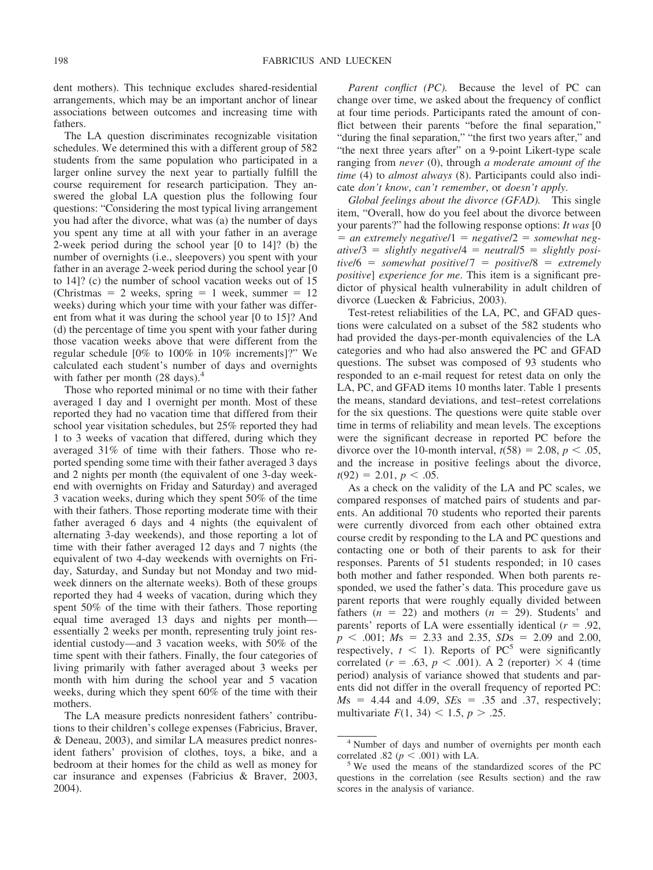dent mothers). This technique excludes shared-residential arrangements, which may be an important anchor of linear associations between outcomes and increasing time with fathers.

The LA question discriminates recognizable visitation schedules. We determined this with a different group of 582 students from the same population who participated in a larger online survey the next year to partially fulfill the course requirement for research participation. They answered the global LA question plus the following four questions: "Considering the most typical living arrangement you had after the divorce, what was (a) the number of days you spent any time at all with your father in an average 2-week period during the school year [0 to 14]? (b) the number of overnights (i.e., sleepovers) you spent with your father in an average 2-week period during the school year [0 to 14]? (c) the number of school vacation weeks out of 15 (Christmas  $= 2$  weeks, spring  $= 1$  week, summer  $= 12$ weeks) during which your time with your father was different from what it was during the school year [0 to 15]? And (d) the percentage of time you spent with your father during those vacation weeks above that were different from the regular schedule [0% to 100% in 10% increments]?" We calculated each student's number of days and overnights with father per month  $(28 \text{ days})$ .<sup>4</sup>

Those who reported minimal or no time with their father averaged 1 day and 1 overnight per month. Most of these reported they had no vacation time that differed from their school year visitation schedules, but 25% reported they had 1 to 3 weeks of vacation that differed, during which they averaged 31% of time with their fathers. Those who reported spending some time with their father averaged 3 days and 2 nights per month (the equivalent of one 3-day weekend with overnights on Friday and Saturday) and averaged 3 vacation weeks, during which they spent 50% of the time with their fathers. Those reporting moderate time with their father averaged 6 days and 4 nights (the equivalent of alternating 3-day weekends), and those reporting a lot of time with their father averaged 12 days and 7 nights (the equivalent of two 4-day weekends with overnights on Friday, Saturday, and Sunday but not Monday and two midweek dinners on the alternate weeks). Both of these groups reported they had 4 weeks of vacation, during which they spent 50% of the time with their fathers. Those reporting equal time averaged 13 days and nights per month essentially 2 weeks per month, representing truly joint residential custody—and 3 vacation weeks, with 50% of the time spent with their fathers. Finally, the four categories of living primarily with father averaged about 3 weeks per month with him during the school year and 5 vacation weeks, during which they spent 60% of the time with their mothers.

The LA measure predicts nonresident fathers' contributions to their children's college expenses (Fabricius, Braver, & Deneau, 2003), and similar LA measures predict nonresident fathers' provision of clothes, toys, a bike, and a bedroom at their homes for the child as well as money for car insurance and expenses (Fabricius & Braver, 2003, 2004).

*Parent conflict (PC).* Because the level of PC can change over time, we asked about the frequency of conflict at four time periods. Participants rated the amount of conflict between their parents "before the final separation," "during the final separation," "the first two years after," and "the next three years after" on a 9-point Likert-type scale ranging from *never* (0), through *a moderate amount of the time* (4) to *almost always* (8). Participants could also indicate *don't know*, *can't remember*, or *doesn't apply*.

*Global feelings about the divorce (GFAD).* This single item, "Overall, how do you feel about the divorce between your parents?" had the following response options: *It was* [0  $=$  an extremely negative/ $1$   $=$  negative/ $2$   $=$  somewhat neg- $\alpha$ *ative*/3 = *slightly negative*/4 = *neutral*/5 = *slightly posi* $tivel6 = somewhat positive/7 = positive/8 = extremely$ *positive*] *experience for me*. This item is a significant predictor of physical health vulnerability in adult children of divorce (Luecken & Fabricius, 2003).

Test-retest reliabilities of the LA, PC, and GFAD questions were calculated on a subset of the 582 students who had provided the days-per-month equivalencies of the LA categories and who had also answered the PC and GFAD questions. The subset was composed of 93 students who responded to an e-mail request for retest data on only the LA, PC, and GFAD items 10 months later. Table 1 presents the means, standard deviations, and test–retest correlations for the six questions. The questions were quite stable over time in terms of reliability and mean levels. The exceptions were the significant decrease in reported PC before the divorce over the 10-month interval,  $t(58) = 2.08$ ,  $p < .05$ , and the increase in positive feelings about the divorce,  $t(92) = 2.01, p < .05.$ 

As a check on the validity of the LA and PC scales, we compared responses of matched pairs of students and parents. An additional 70 students who reported their parents were currently divorced from each other obtained extra course credit by responding to the LA and PC questions and contacting one or both of their parents to ask for their responses. Parents of 51 students responded; in 10 cases both mother and father responded. When both parents responded, we used the father's data. This procedure gave us parent reports that were roughly equally divided between fathers  $(n = 22)$  and mothers  $(n = 29)$ . Students' and parents' reports of LA were essentially identical  $(r = .92, ...)$  $p \leq .001$ ;  $Ms = 2.33$  and 2.35,  $SDs = 2.09$  and 2.00, respectively,  $t < 1$ ). Reports of PC<sup>5</sup> were significantly correlated ( $r = .63$ ,  $p < .001$ ). A 2 (reporter)  $\times$  4 (time period) analysis of variance showed that students and parents did not differ in the overall frequency of reported PC:  $Ms = 4.44$  and  $4.09$ ,  $SEs = .35$  and  $.37$ , respectively; multivariate  $F(1, 34) < 1.5, p > .25$ .

<sup>4</sup> Number of days and number of overnights per month each correlated .82 ( $p < .001$ ) with LA.

 $5$  We used the means of the standardized scores of the PC questions in the correlation (see Results section) and the raw scores in the analysis of variance.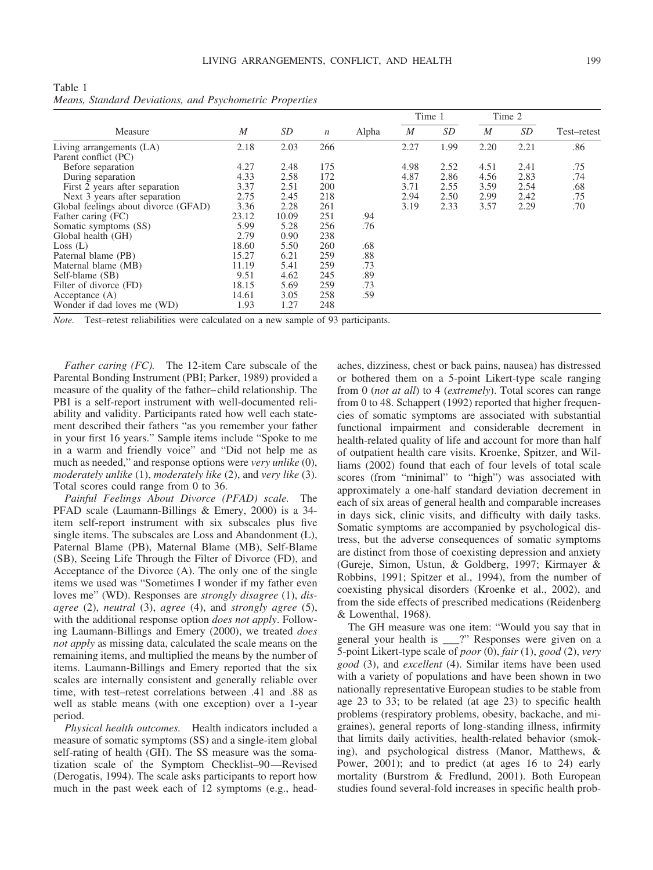Table 1 *Means, Standard Deviations, and Psychometric Properties*

|                                      |       |       |                  |       |      | Time 1 |      | Time 2 |             |
|--------------------------------------|-------|-------|------------------|-------|------|--------|------|--------|-------------|
| Measure                              | M     | SD    | $\boldsymbol{n}$ | Alpha | M    | SD     | M    | SD     | Test-retest |
| Living arrangements (LA)             | 2.18  | 2.03  | 266              |       | 2.27 | 1.99   | 2.20 | 2.21   | .86         |
| Parent conflict (PC)                 |       |       |                  |       |      |        |      |        |             |
| Before separation                    | 4.27  | 2.48  | 175              |       | 4.98 | 2.52   | 4.51 | 2.41   | .75         |
| During separation                    | 4.33  | 2.58  | 172              |       | 4.87 | 2.86   | 4.56 | 2.83   | .74         |
| First 2 years after separation       | 3.37  | 2.51  | 200              |       | 3.71 | 2.55   | 3.59 | 2.54   | .68         |
| Next 3 years after separation        | 2.75  | 2.45  | 218              |       | 2.94 | 2.50   | 2.99 | 2.42   | .75         |
| Global feelings about divorce (GFAD) | 3.36  | 2.28  | 261              |       | 3.19 | 2.33   | 3.57 | 2.29   | .70         |
| Father caring (FC)                   | 23.12 | 10.09 | 251              | .94   |      |        |      |        |             |
| Somatic symptoms (SS)                | 5.99  | 5.28  | 256              | .76   |      |        |      |        |             |
| Global health (GH)                   | 2.79  | 0.90  | 238              |       |      |        |      |        |             |
| Loss (L)                             | 18.60 | 5.50  | 260              | .68   |      |        |      |        |             |
| Paternal blame (PB)                  | 15.27 | 6.21  | 259              | .88   |      |        |      |        |             |
| Maternal blame (MB)                  | 11.19 | 5.41  | 259              | .73   |      |        |      |        |             |
| Self-blame (SB)                      | 9.51  | 4.62  | 245              | .89   |      |        |      |        |             |
| Filter of divorce (FD)               | 18.15 | 5.69  | 259              | .73   |      |        |      |        |             |
| Acceptance $(A)$                     | 14.61 | 3.05  | 258              | .59   |      |        |      |        |             |
| Wonder if dad loves me (WD)          | 1.93  | 1.27  | 248              |       |      |        |      |        |             |

*Note.* Test–retest reliabilities were calculated on a new sample of 93 participants.

*Father caring (FC).* The 12-item Care subscale of the Parental Bonding Instrument (PBI; Parker, 1989) provided a measure of the quality of the father– child relationship. The PBI is a self-report instrument with well-documented reliability and validity. Participants rated how well each statement described their fathers "as you remember your father in your first 16 years." Sample items include "Spoke to me in a warm and friendly voice" and "Did not help me as much as needed," and response options were *very unlike* (0), *moderately unlike* (1), *moderately like* (2), and *very like* (3). Total scores could range from 0 to 36.

*Painful Feelings About Divorce (PFAD) scale.* The PFAD scale (Laumann-Billings & Emery, 2000) is a 34 item self-report instrument with six subscales plus five single items. The subscales are Loss and Abandonment (L), Paternal Blame (PB), Maternal Blame (MB), Self-Blame (SB), Seeing Life Through the Filter of Divorce (FD), and Acceptance of the Divorce (A). The only one of the single items we used was "Sometimes I wonder if my father even loves me" (WD). Responses are *strongly disagree* (1), *disagree* (2), *neutral* (3), *agree* (4), and *strongly agree* (5), with the additional response option *does not apply*. Following Laumann-Billings and Emery (2000), we treated *does not apply* as missing data, calculated the scale means on the remaining items, and multiplied the means by the number of items. Laumann-Billings and Emery reported that the six scales are internally consistent and generally reliable over time, with test–retest correlations between .41 and .88 as well as stable means (with one exception) over a 1-year period.

*Physical health outcomes.* Health indicators included a measure of somatic symptoms (SS) and a single-item global self-rating of health (GH). The SS measure was the somatization scale of the Symptom Checklist–90—Revised (Derogatis, 1994). The scale asks participants to report how much in the past week each of 12 symptoms (e.g., headaches, dizziness, chest or back pains, nausea) has distressed or bothered them on a 5-point Likert-type scale ranging from 0 (*not at all*) to 4 (*extremely*). Total scores can range from 0 to 48. Schappert (1992) reported that higher frequencies of somatic symptoms are associated with substantial functional impairment and considerable decrement in health-related quality of life and account for more than half of outpatient health care visits. Kroenke, Spitzer, and Williams (2002) found that each of four levels of total scale scores (from "minimal" to "high") was associated with approximately a one-half standard deviation decrement in each of six areas of general health and comparable increases in days sick, clinic visits, and difficulty with daily tasks. Somatic symptoms are accompanied by psychological distress, but the adverse consequences of somatic symptoms are distinct from those of coexisting depression and anxiety (Gureje, Simon, Ustun, & Goldberg, 1997; Kirmayer & Robbins, 1991; Spitzer et al., 1994), from the number of coexisting physical disorders (Kroenke et al., 2002), and from the side effects of prescribed medications (Reidenberg & Lowenthal, 1968).

The GH measure was one item: "Would you say that in general your health is \_\_\_?" Responses were given on a 5-point Likert-type scale of *poor* (0), *fair* (1), *good* (2), *very good* (3), and *excellent* (4). Similar items have been used with a variety of populations and have been shown in two nationally representative European studies to be stable from age 23 to 33; to be related (at age 23) to specific health problems (respiratory problems, obesity, backache, and migraines), general reports of long-standing illness, infirmity that limits daily activities, health-related behavior (smoking), and psychological distress (Manor, Matthews, & Power, 2001); and to predict (at ages 16 to 24) early mortality (Burstrom & Fredlund, 2001). Both European studies found several-fold increases in specific health prob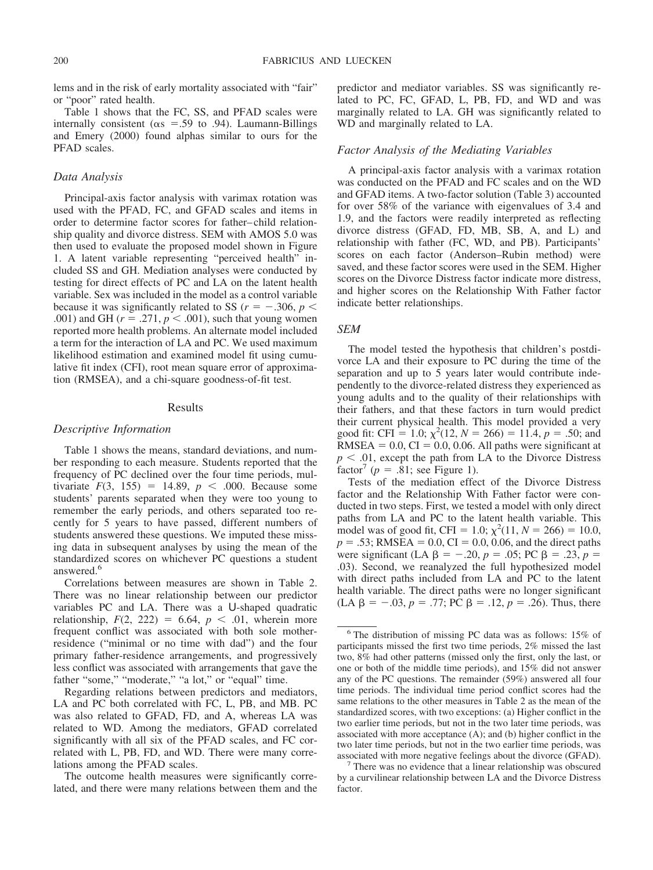lems and in the risk of early mortality associated with "fair" or "poor" rated health.

Table 1 shows that the FC, SS, and PFAD scales were internally consistent ( $\alpha s$  = .59 to .94). Laumann-Billings and Emery (2000) found alphas similar to ours for the PFAD scales.

#### *Data Analysis*

Principal-axis factor analysis with varimax rotation was used with the PFAD, FC, and GFAD scales and items in order to determine factor scores for father– child relationship quality and divorce distress. SEM with AMOS 5.0 was then used to evaluate the proposed model shown in Figure 1. A latent variable representing "perceived health" included SS and GH. Mediation analyses were conducted by testing for direct effects of PC and LA on the latent health variable. Sex was included in the model as a control variable because it was significantly related to SS ( $r = -.306, p <$ .001) and GH ( $r = .271, p < .001$ ), such that young women reported more health problems. An alternate model included a term for the interaction of LA and PC. We used maximum likelihood estimation and examined model fit using cumulative fit index (CFI), root mean square error of approximation (RMSEA), and a chi-square goodness-of-fit test.

#### Results

## *Descriptive Information*

Table 1 shows the means, standard deviations, and number responding to each measure. Students reported that the frequency of PC declined over the four time periods, multivariate  $F(3, 155) = 14.89, p < .000$ . Because some students' parents separated when they were too young to remember the early periods, and others separated too recently for 5 years to have passed, different numbers of students answered these questions. We imputed these missing data in subsequent analyses by using the mean of the standardized scores on whichever PC questions a student answered.<sup>6</sup>

Correlations between measures are shown in Table 2. There was no linear relationship between our predictor variables PC and LA. There was a U-shaped quadratic relationship,  $F(2, 222) = 6.64$ ,  $p < .01$ , wherein more frequent conflict was associated with both sole motherresidence ("minimal or no time with dad") and the four primary father-residence arrangements, and progressively less conflict was associated with arrangements that gave the father "some," "moderate," "a lot," or "equal" time.

Regarding relations between predictors and mediators, LA and PC both correlated with FC, L, PB, and MB. PC was also related to GFAD, FD, and A, whereas LA was related to WD. Among the mediators, GFAD correlated significantly with all six of the PFAD scales, and FC correlated with L, PB, FD, and WD. There were many correlations among the PFAD scales.

The outcome health measures were significantly correlated, and there were many relations between them and the predictor and mediator variables. SS was significantly related to PC, FC, GFAD, L, PB, FD, and WD and was marginally related to LA. GH was significantly related to WD and marginally related to LA.

#### *Factor Analysis of the Mediating Variables*

A principal-axis factor analysis with a varimax rotation was conducted on the PFAD and FC scales and on the WD and GFAD items. A two-factor solution (Table 3) accounted for over 58% of the variance with eigenvalues of 3.4 and 1.9, and the factors were readily interpreted as reflecting divorce distress (GFAD, FD, MB, SB, A, and L) and relationship with father (FC, WD, and PB). Participants' scores on each factor (Anderson–Rubin method) were saved, and these factor scores were used in the SEM. Higher scores on the Divorce Distress factor indicate more distress, and higher scores on the Relationship With Father factor indicate better relationships.

#### *SEM*

The model tested the hypothesis that children's postdivorce LA and their exposure to PC during the time of the separation and up to 5 years later would contribute independently to the divorce-related distress they experienced as young adults and to the quality of their relationships with their fathers, and that these factors in turn would predict their current physical health. This model provided a very good fit: CFI = 1.0;  $\chi^2(12, N = 266) = 11.4, p = .50$ ; and  $RMSEA = 0.0$ ,  $CI = 0.0$ , 0.06. All paths were significant at  $p < .01$ , except the path from LA to the Divorce Distress factor<sup>7</sup> ( $p = .81$ ; see Figure 1).

Tests of the mediation effect of the Divorce Distress factor and the Relationship With Father factor were conducted in two steps. First, we tested a model with only direct paths from LA and PC to the latent health variable. This model was of good fit, CFI = 1.0;  $\chi^2(11, N = 266) = 10.0$ ,  $p = .53$ ; RMSEA = 0.0, CI = 0.0, 0.06, and the direct paths were significant (LA  $\beta = -.20, p = .05$ ; PC  $\beta = .23, p =$ .03). Second, we reanalyzed the full hypothesized model with direct paths included from LA and PC to the latent health variable. The direct paths were no longer significant (LA  $\beta = -.03$ ,  $p = .77$ ; PC  $\beta = .12$ ,  $p = .26$ ). Thus, there

<sup>6</sup> The distribution of missing PC data was as follows: 15% of participants missed the first two time periods, 2% missed the last two, 8% had other patterns (missed only the first, only the last, or one or both of the middle time periods), and 15% did not answer any of the PC questions. The remainder (59%) answered all four time periods. The individual time period conflict scores had the same relations to the other measures in Table 2 as the mean of the standardized scores, with two exceptions: (a) Higher conflict in the two earlier time periods, but not in the two later time periods, was associated with more acceptance (A); and (b) higher conflict in the two later time periods, but not in the two earlier time periods, was

associated with more negative feelings about the divorce (GFAD). <sup>7</sup> There was no evidence that a linear relationship was obscured by a curvilinear relationship between LA and the Divorce Distress factor.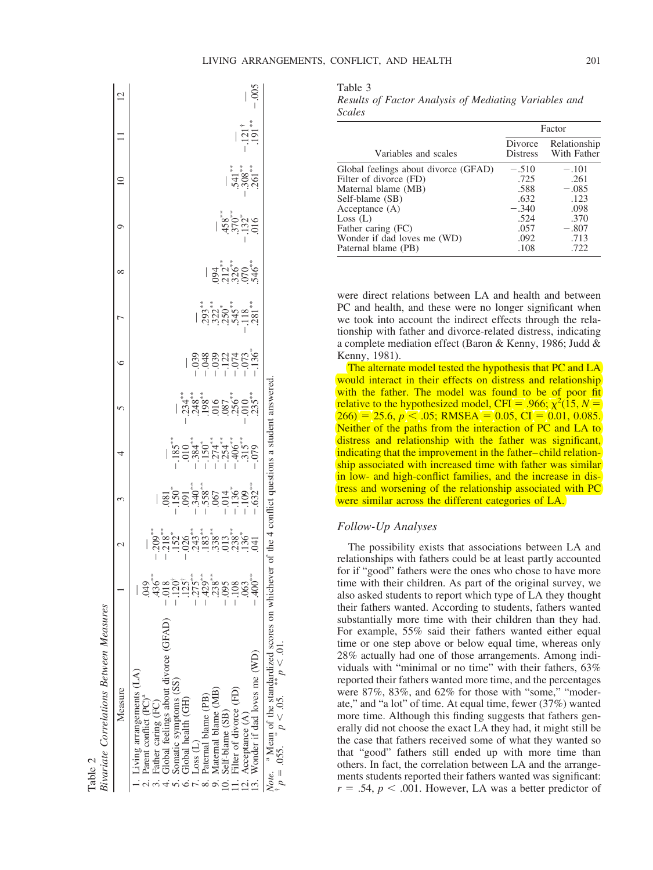| Bivariate Correlations Between Measures                                                                                                                                                                                                                                                                                                                                |                                                                                                                                                                |               |                                                                                                                     |                                                                                                                                                                                                                                                                                                                                   |                                                                                                                                                                                                                                                                                                                                   |                                                                                                                                                                                                                                                                                                                                                                                                                                                                                                                                       |                                         |                   |                                 |               |
|------------------------------------------------------------------------------------------------------------------------------------------------------------------------------------------------------------------------------------------------------------------------------------------------------------------------------------------------------------------------|----------------------------------------------------------------------------------------------------------------------------------------------------------------|---------------|---------------------------------------------------------------------------------------------------------------------|-----------------------------------------------------------------------------------------------------------------------------------------------------------------------------------------------------------------------------------------------------------------------------------------------------------------------------------|-----------------------------------------------------------------------------------------------------------------------------------------------------------------------------------------------------------------------------------------------------------------------------------------------------------------------------------|---------------------------------------------------------------------------------------------------------------------------------------------------------------------------------------------------------------------------------------------------------------------------------------------------------------------------------------------------------------------------------------------------------------------------------------------------------------------------------------------------------------------------------------|-----------------------------------------|-------------------|---------------------------------|---------------|
| Measure                                                                                                                                                                                                                                                                                                                                                                |                                                                                                                                                                | $\mathcal{L}$ |                                                                                                                     |                                                                                                                                                                                                                                                                                                                                   | $\circ$                                                                                                                                                                                                                                                                                                                           |                                                                                                                                                                                                                                                                                                                                                                                                                                                                                                                                       | $\infty$                                | $\circ$           |                                 |               |
| 4. Global feelings about divorce (GFAD)<br>13. Wonder if dad loves me (WD)<br>1. Living arrangements (LA)<br>. Somatic symptoms (SS)<br>1. Filter of divorce (FD)<br>9. Maternal blame (MB)<br>2. Parent conflict (PC) <sup>a</sup><br>Paternal blame (PB)<br>6. Global health (GH)<br>3. Father caring (FC)<br>0. Self-blame (SB)<br>2. Acceptance (A)<br>7. Loss (L) | $436***$<br>$120^{\dagger}$<br>$125^{+}$<br>$-275***$<br>$429$ **<br>$.238***$<br>$400***$<br>018<br>$600$ .<br>.095<br>.063<br>$\begin{array}{c} \end{array}$ |               | $18.83$ $-15.84$ $-15.84$ $-15.84$ $-15.84$ $-15.84$ $-15.84$ $-15.84$ $-15.84$ $-15.84$ $-15.84$ $-15.84$ $-15.84$ | $\begin{array}{r} 67.4 \\ -185.4 \\ -185.4 \\ -185.4 \\ -150.4 \\ -150.4 \\ -150.4 \\ -150.4 \\ -150.4 \\ -150.4 \\ -150.4 \\ -150.4 \\ -150.4 \\ -150.4 \\ -150.4 \\ -150.4 \\ -150.4 \\ -150.4 \\ -150.4 \\ -150.4 \\ -150.4 \\ -150.4 \\ -150.4 \\ -150.4 \\ -150.4 \\ -150.4 \\ -150.4 \\ -150.4 \\ -150.4 \\ -150.4 \\ -150$ | $\begin{array}{r} 1.39 \\ -0.39 \\ -0.039 \\ -0.039 \\ -0.074 \\ -0.074 \\ -0.074 \\ -0.039 \\ -0.039 \\ -0.039 \\ -0.039 \\ -0.039 \\ -0.039 \\ -0.039 \\ -0.039 \\ -0.039 \\ -0.039 \\ -0.039 \\ -0.039 \\ -0.039 \\ -0.039 \\ -0.039 \\ -0.039 \\ -0.039 \\ -0.039 \\ -0.039 \\ -0.039 \\ -0.039 \\ -0.039 \\ -0.039 \\ -0.03$ | $\begin{array}{c} \mid \overset{\ast }{\mathcal{O}}\overset{\ast }{\mathcal{O}}\overset{\ast }{\mathcal{O}}\overset{\ast }{\mathcal{O}}\overset{\ast }{\mathcal{O}}\overset{\ast }{\mathcal{O}}\overset{\ast }{\mathcal{O}}\overset{\ast }{\mathcal{O}}\overset{\ast }{\mathcal{O}}\overset{\ast }{\mathcal{O}}\overset{\ast }{\mathcal{O}}\overset{\ast }{\mathcal{O}}\overset{\ast }{\mathcal{O}}\overset{\ast }{\mathcal{O}}\overset{\ast }{\mathcal{O}}\overset{\ast }{\mathcal{O}}\overset{\ast }{\mathcal{O}}\overset{\ast }{\$ | ្រះ<br>  ತ್ವಸ್ಥೆಂತ್ರೆ<br>  ತ್ವಸ್ಥೆಂತ್ರೆ | $\frac{458}{450}$ | $\frac{1}{1}$ .121 <sup>+</sup> | $\frac{8}{1}$ |
| <i>Note.</i> <sup>a</sup> Mean of the standardized scores on whichever of the 4 conflict questions a student answered $\iota_p = .055$ . $\iota_p \iota_p < .01$ .                                                                                                                                                                                                     |                                                                                                                                                                |               |                                                                                                                     |                                                                                                                                                                                                                                                                                                                                   |                                                                                                                                                                                                                                                                                                                                   |                                                                                                                                                                                                                                                                                                                                                                                                                                                                                                                                       |                                         |                   |                                 |               |

Table 2

Table 3 *Results of Factor Analysis of Mediating Variables and Scales*

| Factor              |                             |  |
|---------------------|-----------------------------|--|
| Divorce<br>Distress | Relationship<br>With Father |  |
| $-.510$             | $-.101$                     |  |
| .725                | .261                        |  |
| .588                | $-.085$                     |  |
| .632                | .123                        |  |
| $-.340$             | .098                        |  |
| .524                | .370                        |  |
| .057                | $-.807$                     |  |
| .092                | .713                        |  |
| .108                | .722                        |  |
|                     |                             |  |

were direct relations between LA and health and between PC and health, and these were no longer significant when we took into account the indirect effects through the relationship with father and divorce-related distress, indicating a complete mediation effect (Baron & Kenny, 1986; Judd & Kenny, 1981).

The alternate model tested the hypothesis that PC and LA would interact in their effects on distress and relationship with the father. The model was found to be of poor fit relative to the hypothesized model, CFI =  $.966$ ;  $\overline{\chi}^2(15, N)$  =  $266$  = 25.6, *p* < .05; RMSEA = 0.05, CI = 0.01, 0.085. Neither of the paths from the interaction of PC and LA to distress and relationship with the father was significant, indicating that the improvement in the father– child relationship associated with increased time with father was similar in low- and high-conflict families, and the increase in distress and worsening of the relationship associated with PC were similar across the different categories of LA.

## *Follow-Up Analyses*

The possibility exists that associations between LA and relationships with fathers could be at least partly accounted for if "good" fathers were the ones who chose to have more time with their children. As part of the original survey, we also asked students to report which type of LA they thought their fathers wanted. According to students, fathers wanted substantially more time with their children than they had. For example, 55% said their fathers wanted either equal time or one step above or below equal time, whereas only 28% actually had one of those arrangements. Among individuals with "minimal or no time" with their fathers, 63% reported their fathers wanted more time, and the percentages were 87%, 83%, and 62% for those with "some," "moderate," and "a lot" of time. At equal time, fewer (37%) wanted more time. Although this finding suggests that fathers generally did not choose the exact LA they had, it might still be the case that fathers received some of what they wanted so that "good" fathers still ended up with more time than others. In fact, the correlation between LA and the arrangements students reported their fathers wanted was significant:  $r = .54$ ,  $p < .001$ . However, LA was a better predictor of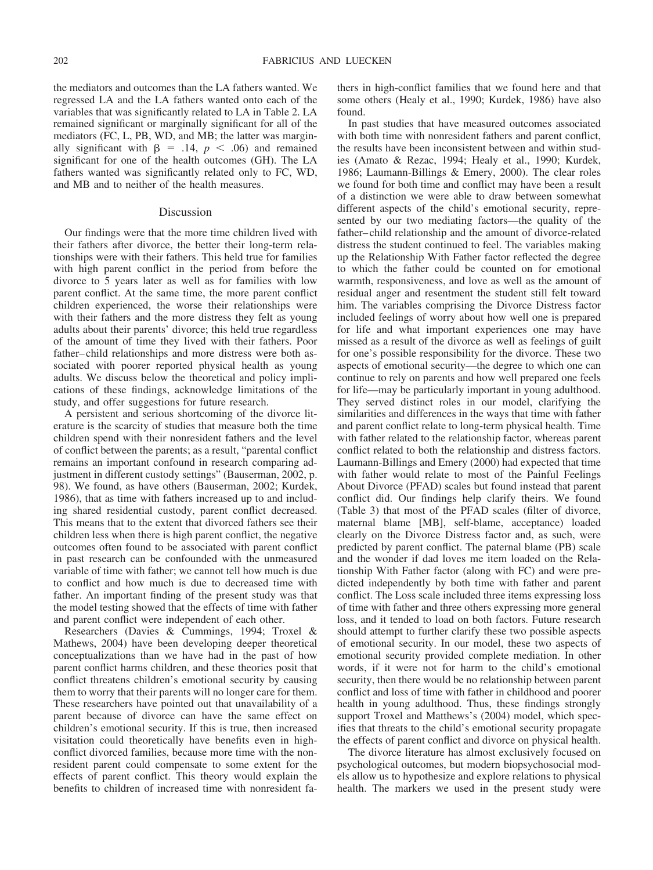the mediators and outcomes than the LA fathers wanted. We regressed LA and the LA fathers wanted onto each of the variables that was significantly related to LA in Table 2. LA remained significant or marginally significant for all of the mediators (FC, L, PB, WD, and MB; the latter was marginally significant with  $\beta = .14$ ,  $p < .06$ ) and remained significant for one of the health outcomes (GH). The LA fathers wanted was significantly related only to FC, WD, and MB and to neither of the health measures.

## Discussion

Our findings were that the more time children lived with their fathers after divorce, the better their long-term relationships were with their fathers. This held true for families with high parent conflict in the period from before the divorce to 5 years later as well as for families with low parent conflict. At the same time, the more parent conflict children experienced, the worse their relationships were with their fathers and the more distress they felt as young adults about their parents' divorce; this held true regardless of the amount of time they lived with their fathers. Poor father– child relationships and more distress were both associated with poorer reported physical health as young adults. We discuss below the theoretical and policy implications of these findings, acknowledge limitations of the study, and offer suggestions for future research.

A persistent and serious shortcoming of the divorce literature is the scarcity of studies that measure both the time children spend with their nonresident fathers and the level of conflict between the parents; as a result, "parental conflict remains an important confound in research comparing adjustment in different custody settings" (Bauserman, 2002, p. 98). We found, as have others (Bauserman, 2002; Kurdek, 1986), that as time with fathers increased up to and including shared residential custody, parent conflict decreased. This means that to the extent that divorced fathers see their children less when there is high parent conflict, the negative outcomes often found to be associated with parent conflict in past research can be confounded with the unmeasured variable of time with father; we cannot tell how much is due to conflict and how much is due to decreased time with father. An important finding of the present study was that the model testing showed that the effects of time with father and parent conflict were independent of each other.

Researchers (Davies & Cummings, 1994; Troxel & Mathews, 2004) have been developing deeper theoretical conceptualizations than we have had in the past of how parent conflict harms children, and these theories posit that conflict threatens children's emotional security by causing them to worry that their parents will no longer care for them. These researchers have pointed out that unavailability of a parent because of divorce can have the same effect on children's emotional security. If this is true, then increased visitation could theoretically have benefits even in highconflict divorced families, because more time with the nonresident parent could compensate to some extent for the effects of parent conflict. This theory would explain the benefits to children of increased time with nonresident fathers in high-conflict families that we found here and that some others (Healy et al., 1990; Kurdek, 1986) have also found.

In past studies that have measured outcomes associated with both time with nonresident fathers and parent conflict, the results have been inconsistent between and within studies (Amato & Rezac, 1994; Healy et al., 1990; Kurdek, 1986; Laumann-Billings & Emery, 2000). The clear roles we found for both time and conflict may have been a result of a distinction we were able to draw between somewhat different aspects of the child's emotional security, represented by our two mediating factors—the quality of the father– child relationship and the amount of divorce-related distress the student continued to feel. The variables making up the Relationship With Father factor reflected the degree to which the father could be counted on for emotional warmth, responsiveness, and love as well as the amount of residual anger and resentment the student still felt toward him. The variables comprising the Divorce Distress factor included feelings of worry about how well one is prepared for life and what important experiences one may have missed as a result of the divorce as well as feelings of guilt for one's possible responsibility for the divorce. These two aspects of emotional security—the degree to which one can continue to rely on parents and how well prepared one feels for life—may be particularly important in young adulthood. They served distinct roles in our model, clarifying the similarities and differences in the ways that time with father and parent conflict relate to long-term physical health. Time with father related to the relationship factor, whereas parent conflict related to both the relationship and distress factors. Laumann-Billings and Emery (2000) had expected that time with father would relate to most of the Painful Feelings About Divorce (PFAD) scales but found instead that parent conflict did. Our findings help clarify theirs. We found (Table 3) that most of the PFAD scales (filter of divorce, maternal blame [MB], self-blame, acceptance) loaded clearly on the Divorce Distress factor and, as such, were predicted by parent conflict. The paternal blame (PB) scale and the wonder if dad loves me item loaded on the Relationship With Father factor (along with FC) and were predicted independently by both time with father and parent conflict. The Loss scale included three items expressing loss of time with father and three others expressing more general loss, and it tended to load on both factors. Future research should attempt to further clarify these two possible aspects of emotional security. In our model, these two aspects of emotional security provided complete mediation. In other words, if it were not for harm to the child's emotional security, then there would be no relationship between parent conflict and loss of time with father in childhood and poorer health in young adulthood. Thus, these findings strongly support Troxel and Matthews's (2004) model, which specifies that threats to the child's emotional security propagate the effects of parent conflict and divorce on physical health.

The divorce literature has almost exclusively focused on psychological outcomes, but modern biopsychosocial models allow us to hypothesize and explore relations to physical health. The markers we used in the present study were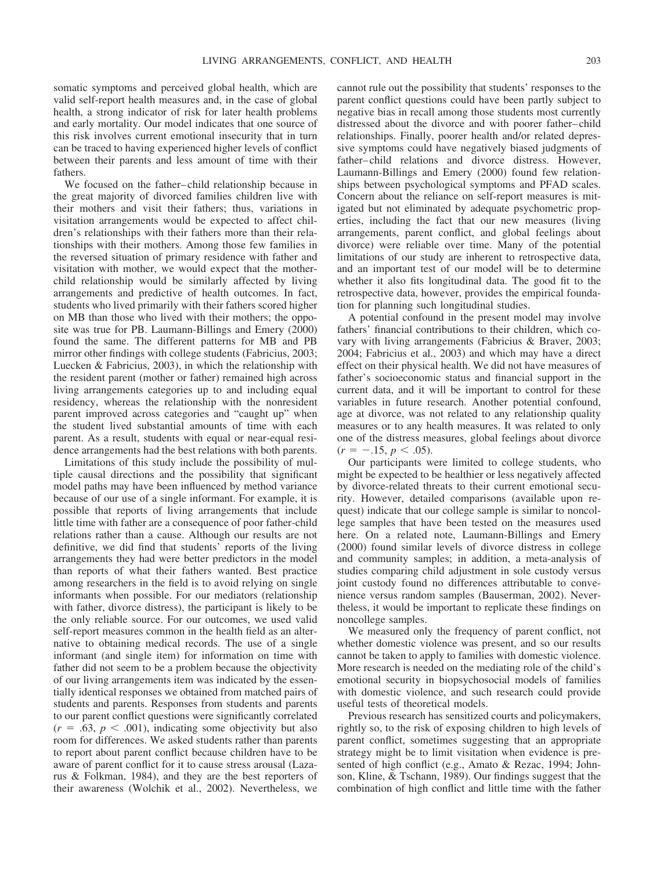somatic symptoms and perceived global health, which are valid self-report health measures and, in the case of global health, a strong indicator of risk for later health problems and early mortality. Our model indicates that one source of this risk involves current emotional insecurity that in turn can be traced to having experienced higher levels of conflict between their parents and less amount of time with their fathers.

We focused on the father– child relationship because in the great majority of divorced families children live with their mothers and visit their fathers; thus, variations in visitation arrangements would be expected to affect children's relationships with their fathers more than their relationships with their mothers. Among those few families in the reversed situation of primary residence with father and visitation with mother, we would expect that the motherchild relationship would be similarly affected by living arrangements and predictive of health outcomes. In fact, students who lived primarily with their fathers scored higher on MB than those who lived with their mothers; the opposite was true for PB. Laumann-Billings and Emery (2000) found the same. The different patterns for MB and PB mirror other findings with college students (Fabricius, 2003; Luecken & Fabricius, 2003), in which the relationship with the resident parent (mother or father) remained high across living arrangements categories up to and including equal residency, whereas the relationship with the nonresident parent improved across categories and "caught up" when the student lived substantial amounts of time with each parent. As a result, students with equal or near-equal residence arrangements had the best relations with both parents.

Limitations of this study include the possibility of multiple causal directions and the possibility that significant model paths may have been influenced by method variance because of our use of a single informant. For example, it is possible that reports of living arrangements that include little time with father are a consequence of poor father-child relations rather than a cause. Although our results are not definitive, we did find that students' reports of the living arrangements they had were better predictors in the model than reports of what their fathers wanted. Best practice among researchers in the field is to avoid relying on single informants when possible. For our mediators (relationship with father, divorce distress), the participant is likely to be the only reliable source. For our outcomes, we used valid self-report measures common in the health field as an alternative to obtaining medical records. The use of a single informant (and single item) for information on time with father did not seem to be a problem because the objectivity of our living arrangements item was indicated by the essentially identical responses we obtained from matched pairs of students and parents. Responses from students and parents to our parent conflict questions were significantly correlated  $(r = .63, p < .001)$ , indicating some objectivity but also room for differences. We asked students rather than parents to report about parent conflict because children have to be aware of parent conflict for it to cause stress arousal (Lazarus & Folkman, 1984), and they are the best reporters of their awareness (Wolchik et al., 2002). Nevertheless, we

cannot rule out the possibility that students' responses to the parent conflict questions could have been partly subject to negative bias in recall among those students most currently distressed about the divorce and with poorer father– child relationships. Finally, poorer health and/or related depressive symptoms could have negatively biased judgments of father– child relations and divorce distress. However, Laumann-Billings and Emery (2000) found few relationships between psychological symptoms and PFAD scales. Concern about the reliance on self-report measures is mitigated but not eliminated by adequate psychometric properties, including the fact that our new measures (living arrangements, parent conflict, and global feelings about divorce) were reliable over time. Many of the potential limitations of our study are inherent to retrospective data, and an important test of our model will be to determine whether it also fits longitudinal data. The good fit to the retrospective data, however, provides the empirical foundation for planning such longitudinal studies.

A potential confound in the present model may involve fathers' financial contributions to their children, which covary with living arrangements (Fabricius & Braver, 2003; 2004; Fabricius et al., 2003) and which may have a direct effect on their physical health. We did not have measures of father's socioeconomic status and financial support in the current data, and it will be important to control for these variables in future research. Another potential confound, age at divorce, was not related to any relationship quality measures or to any health measures. It was related to only one of the distress measures, global feelings about divorce  $(r = -.15, p < .05)$ .

Our participants were limited to college students, who might be expected to be healthier or less negatively affected by divorce-related threats to their current emotional security. However, detailed comparisons (available upon request) indicate that our college sample is similar to noncollege samples that have been tested on the measures used here. On a related note, Laumann-Billings and Emery (2000) found similar levels of divorce distress in college and community samples; in addition, a meta-analysis of studies comparing child adjustment in sole custody versus joint custody found no differences attributable to convenience versus random samples (Bauserman, 2002). Nevertheless, it would be important to replicate these findings on noncollege samples.

We measured only the frequency of parent conflict, not whether domestic violence was present, and so our results cannot be taken to apply to families with domestic violence. More research is needed on the mediating role of the child's emotional security in biopsychosocial models of families with domestic violence, and such research could provide useful tests of theoretical models.

Previous research has sensitized courts and policymakers, rightly so, to the risk of exposing children to high levels of parent conflict, sometimes suggesting that an appropriate strategy might be to limit visitation when evidence is presented of high conflict (e.g., Amato & Rezac, 1994; Johnson, Kline, & Tschann, 1989). Our findings suggest that the combination of high conflict and little time with the father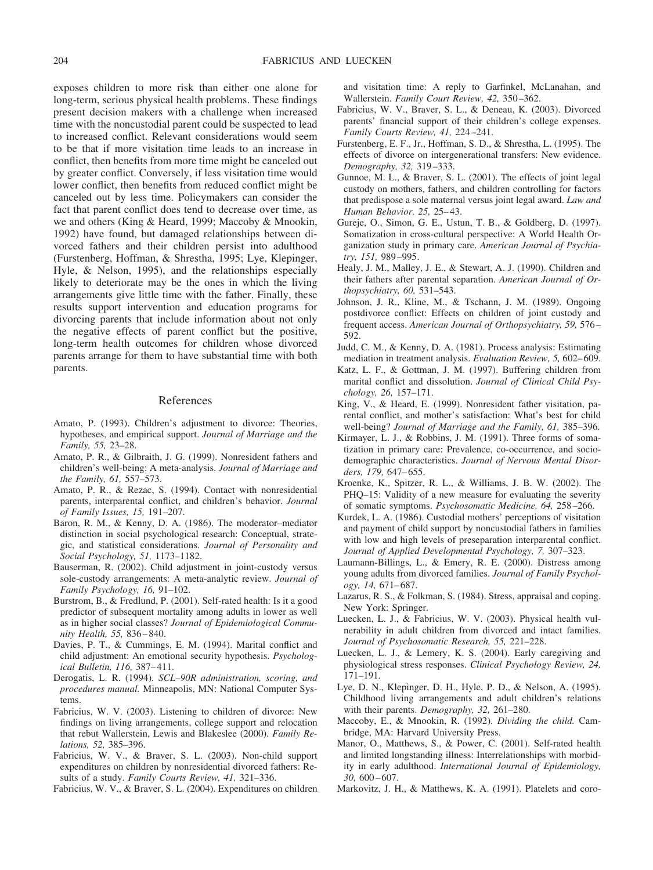exposes children to more risk than either one alone for long-term, serious physical health problems. These findings present decision makers with a challenge when increased time with the noncustodial parent could be suspected to lead to increased conflict. Relevant considerations would seem to be that if more visitation time leads to an increase in conflict, then benefits from more time might be canceled out by greater conflict. Conversely, if less visitation time would lower conflict, then benefits from reduced conflict might be canceled out by less time. Policymakers can consider the fact that parent conflict does tend to decrease over time, as we and others (King & Heard, 1999; Maccoby & Mnookin, 1992) have found, but damaged relationships between divorced fathers and their children persist into adulthood (Furstenberg, Hoffman, & Shrestha, 1995; Lye, Klepinger, Hyle, & Nelson, 1995), and the relationships especially likely to deteriorate may be the ones in which the living arrangements give little time with the father. Finally, these results support intervention and education programs for divorcing parents that include information about not only the negative effects of parent conflict but the positive, long-term health outcomes for children whose divorced parents arrange for them to have substantial time with both parents.

## References

- Amato, P. (1993). Children's adjustment to divorce: Theories, hypotheses, and empirical support. *Journal of Marriage and the Family, 55,* 23–28.
- Amato, P. R., & Gilbraith, J. G. (1999). Nonresident fathers and children's well-being: A meta-analysis. *Journal of Marriage and the Family, 61,* 557–573.
- Amato, P. R., & Rezac, S. (1994). Contact with nonresidential parents, interparental conflict, and children's behavior. *Journal of Family Issues, 15,* 191–207.
- Baron, R. M., & Kenny, D. A. (1986). The moderator–mediator distinction in social psychological research: Conceptual, strategic, and statistical considerations. *Journal of Personality and Social Psychology, 51,* 1173–1182.
- Bauserman, R. (2002). Child adjustment in joint-custody versus sole-custody arrangements: A meta-analytic review. *Journal of Family Psychology, 16,* 91–102.
- Burstrom, B., & Fredlund, P. (2001). Self-rated health: Is it a good predictor of subsequent mortality among adults in lower as well as in higher social classes? *Journal of Epidemiological Community Health, 55,* 836 – 840.
- Davies, P. T., & Cummings, E. M. (1994). Marital conflict and child adjustment: An emotional security hypothesis. *Psychological Bulletin, 116,* 387– 411.
- Derogatis, L. R. (1994). *SCL–90R administration, scoring, and procedures manual.* Minneapolis, MN: National Computer Systems.
- Fabricius, W. V. (2003). Listening to children of divorce: New findings on living arrangements, college support and relocation that rebut Wallerstein, Lewis and Blakeslee (2000). *Family Relations, 52,* 385–396.
- Fabricius, W. V., & Braver, S. L. (2003). Non-child support expenditures on children by nonresidential divorced fathers: Results of a study. *Family Courts Review, 41,* 321–336.

Fabricius, W. V., & Braver, S. L. (2004). Expenditures on children

and visitation time: A reply to Garfinkel, McLanahan, and Wallerstein. *Family Court Review, 42,* 350 –362.

- Fabricius, W. V., Braver, S. L., & Deneau, K. (2003). Divorced parents' financial support of their children's college expenses. *Family Courts Review, 41,* 224 –241.
- Furstenberg, E. F., Jr., Hoffman, S. D., & Shrestha, L. (1995). The effects of divorce on intergenerational transfers: New evidence. *Demography, 32,* 319 –333.
- Gunnoe, M. L., & Braver, S. L. (2001). The effects of joint legal custody on mothers, fathers, and children controlling for factors that predispose a sole maternal versus joint legal award. *Law and Human Behavior, 25,* 25– 43.
- Gureje, O., Simon, G. E., Ustun, T. B., & Goldberg, D. (1997). Somatization in cross-cultural perspective: A World Health Organization study in primary care. *American Journal of Psychiatry, 151,* 989 –995.
- Healy, J. M., Malley, J. E., & Stewart, A. J. (1990). Children and their fathers after parental separation. *American Journal of Orthopsychiatry, 60,* 531–543.
- Johnson, J. R., Kline, M., & Tschann, J. M. (1989). Ongoing postdivorce conflict: Effects on children of joint custody and frequent access. *American Journal of Orthopsychiatry, 59,* 576 – 592.
- Judd, C. M., & Kenny, D. A. (1981). Process analysis: Estimating mediation in treatment analysis. *Evaluation Review*, 5, 602–609.
- Katz, L. F., & Gottman, J. M. (1997). Buffering children from marital conflict and dissolution. *Journal of Clinical Child Psychology, 26,* 157–171.
- King, V., & Heard, E. (1999). Nonresident father visitation, parental conflict, and mother's satisfaction: What's best for child well-being? *Journal of Marriage and the Family, 61,* 385–396.
- Kirmayer, L. J., & Robbins, J. M. (1991). Three forms of somatization in primary care: Prevalence, co-occurrence, and sociodemographic characteristics. *Journal of Nervous Mental Disorders, 179,* 647– 655.
- Kroenke, K., Spitzer, R. L., & Williams, J. B. W. (2002). The PHQ–15: Validity of a new measure for evaluating the severity of somatic symptoms. *Psychosomatic Medicine, 64,* 258 –266.
- Kurdek, L. A. (1986). Custodial mothers' perceptions of visitation and payment of child support by noncustodial fathers in families with low and high levels of preseparation interparental conflict. *Journal of Applied Developmental Psychology, 7,* 307–323.
- Laumann-Billings, L., & Emery, R. E. (2000). Distress among young adults from divorced families. *Journal of Family Psychology, 14,* 671– 687.
- Lazarus, R. S., & Folkman, S. (1984). Stress, appraisal and coping. New York: Springer.
- Luecken, L. J., & Fabricius, W. V. (2003). Physical health vulnerability in adult children from divorced and intact families. *Journal of Psychosomatic Research, 55,* 221–228.
- Luecken, L. J., & Lemery, K. S. (2004). Early caregiving and physiological stress responses. *Clinical Psychology Review, 24,* 171–191.
- Lye, D. N., Klepinger, D. H., Hyle, P. D., & Nelson, A. (1995). Childhood living arrangements and adult children's relations with their parents. *Demography, 32,* 261–280.
- Maccoby, E., & Mnookin, R. (1992). *Dividing the child.* Cambridge, MA: Harvard University Press.
- Manor, O., Matthews, S., & Power, C. (2001). Self-rated health and limited longstanding illness: Interrelationships with morbidity in early adulthood. *International Journal of Epidemiology, 30,* 600 – 607.
- Markovitz, J. H., & Matthews, K. A. (1991). Platelets and coro-